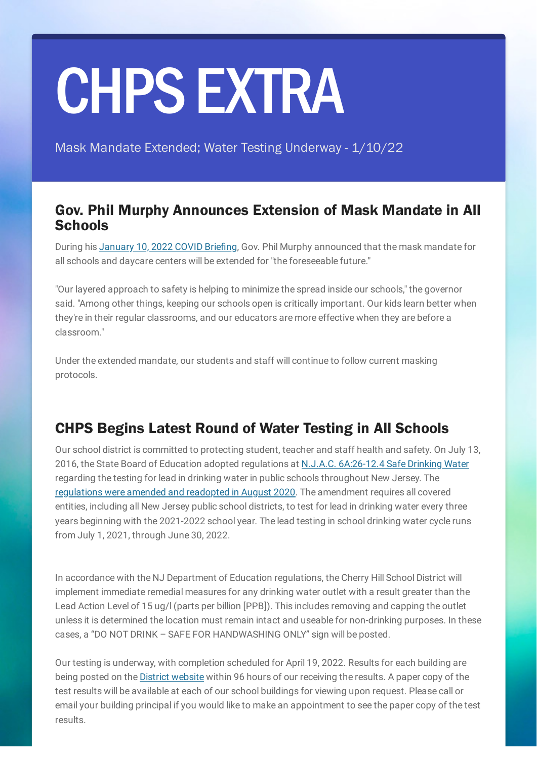## CHPSEXTRA

Mask Mandate Extended; Water Testing Underway - 1/10/22

## Gov. Phil Murphy Announces Extension of Mask Mandate in All **Schools**

During his [January](https://youtu.be/Pqa_PeDgKDQ) 10, 2022 COVID Briefing, Gov. Phil Murphy announced that the mask mandate for all schools and daycare centers will be extended for "the foreseeable future."

"Our layered approach to safety is helping to minimize the spread inside our schools," the governor said. "Among other things, keeping our schools open is critically important. Our kids learn better when they're in their regular classrooms, and our educators are more effective when they are before a classroom."

Under the extended mandate, our students and staff will continue to follow current masking protocols.

## CHPS Begins Latest Round of Water Testing in All Schools

Our school district is committed to protecting student, teacher and staff health and safety. On July 13, 2016, the State Board of Education adopted regulations at N.J.A.C. [6A:26-12.4](https://www.state.nj.us/education/code/current/title6a/chap26.pdf) Safe Drinking Water regarding the testing for lead in drinking water in public schools throughout New Jersey. The [regulations](https://www.nj.gov/education/lead/) were amended and readopted in August 2020. The amendment requires all covered entities, including all New Jersey public school districts, to test for lead in drinking water every three years beginning with the 2021-2022 school year. The lead testing in school drinking water cycle runs from July 1, 2021, through June 30, 2022.

In accordance with the NJ Department of Education regulations, the Cherry Hill School District will implement immediate remedial measures for any drinking water outlet with a result greater than the Lead Action Level of 15 ug/l (parts per billion [PPB]). This includes removing and capping the outlet unless it is determined the location must remain intact and useable for non-drinking purposes. In these cases, a "DO NOT DRINK – SAFE FOR HANDWASHING ONLY" sign will be posted.

Our testing is underway, with completion scheduled for April 19, 2022. Results for each building are being posted on the District [website](https://www.chclc.org/site/default.aspx?DomainID=998) within 96 hours of our receiving the results. A paper copy of the test results will be available at each of our school buildings for viewing upon request. Please call or email your building principal if you would like to make an appointment to see the paper copy of the test results.